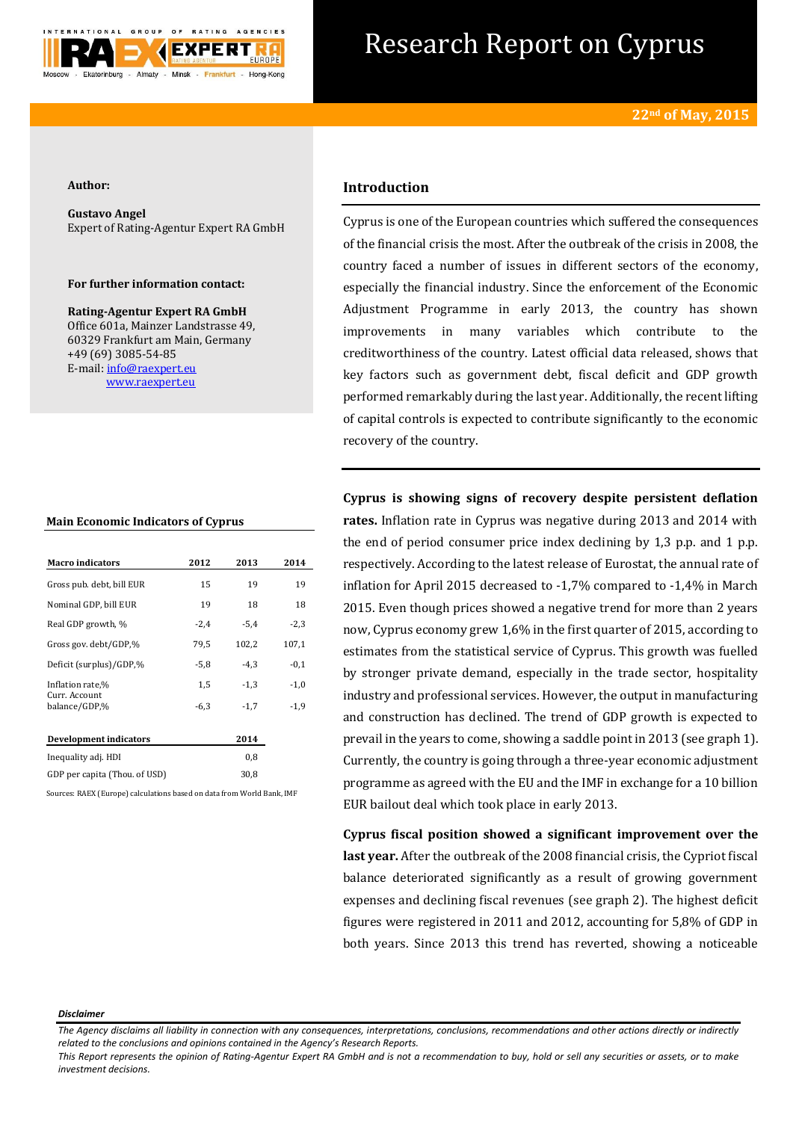

# Research Report on Cyprus

#### **Author:**

**Gustavo Angel** Expert of Rating-Agentur Expert RA GmbH

#### **For further information contact:**

**Rating-Agentur Expert RA GmbH** Office 601a, Mainzer Landstrasse 49, 60329 Frankfurt am Main, Germany +49 (69) 3085-54-85 E-mail[: info@raexpert.eu](mailto:info@raexpert.eu) [www.raexpert.eu](http://raexpert.eu/)

| <b>Main Economic Indicators of Cyprus</b> |  |  |
|-------------------------------------------|--|--|
|-------------------------------------------|--|--|

| <b>Macro indicators</b>        | 2012   | 2013   | 2014   |
|--------------------------------|--------|--------|--------|
| Gross pub. debt, bill EUR      | 15     | 19     | 19     |
| Nominal GDP, bill EUR          | 19     | 18     | 18     |
| Real GDP growth, %             | $-2,4$ | $-5,4$ | $-2,3$ |
| Gross gov. debt/GDP,%          | 79,5   | 102,2  | 107,1  |
| Deficit (surplus)/GDP,%        | $-5,8$ | $-4,3$ | $-0,1$ |
| Inflation rate,%               | 1,5    | $-1,3$ | $-1,0$ |
| Curr. Account<br>balance/GDP,% | $-6,3$ | $-1,7$ | $-1,9$ |
| Development indicators         |        | 2014   |        |
| Inequality adj. HDI            |        | 0,8    |        |
| GDP per capita (Thou. of USD)  |        | 30,8   |        |

Sources: RAEX (Europe) calculations based on data from World Bank, IMF

# **Introduction**

Cyprus is one of the European countries which suffered the consequences of the financial crisis the most. After the outbreak of the crisis in 2008, the country faced a number of issues in different sectors of the economy, especially the financial industry. Since the enforcement of the Economic Adjustment Programme in early 2013, the country has shown improvements in many variables which contribute to the creditworthiness of the country. Latest official data released, shows that key factors such as government debt, fiscal deficit and GDP growth performed remarkably during the last year. Additionally, the recent lifting of capital controls is expected to contribute significantly to the economic recovery of the country.

**Cyprus is showing signs of recovery despite persistent deflation rates.** Inflation rate in Cyprus was negative during 2013 and 2014 with the end of period consumer price index declining by 1,3 p.p. and 1 p.p. respectively. According to the latest release of Eurostat, the annual rate of inflation for April 2015 decreased to -1,7% compared to -1,4% in March 2015. Even though prices showed a negative trend for more than 2 years now, Cyprus economy grew 1,6% in the first quarter of 2015, according to estimates from the statistical service of Cyprus. This growth was fuelled by stronger private demand, especially in the trade sector, hospitality industry and professional services. However, the output in manufacturing and construction has declined. The trend of GDP growth is expected to prevail in the years to come, showing a saddle point in 2013 (see graph 1). Currently, the country is going through a three-year economic adjustment programme as agreed with the EU and the IMF in exchange for a 10 billion EUR bailout deal which took place in early 2013.

**Cyprus fiscal position showed a significant improvement over the last year.** After the outbreak of the 2008 financial crisis, the Cypriot fiscal balance deteriorated significantly as a result of growing government expenses and declining fiscal revenues (see graph 2). The highest deficit figures were registered in 2011 and 2012, accounting for 5,8% of GDP in both years. Since 2013 this trend has reverted, showing a noticeable

#### *Disclaimer*

*This Report represents the opinion of Rating-Agentur Expert RA GmbH and is not a recommendation to buy, hold or sell any securities or assets, or to make investment decisions.*

*The Agency disclaims all liability in connection with any consequences, interpretations, conclusions, recommendations and other actions directly or indirectly related to the conclusions and opinions contained in the Agency's Research Reports.*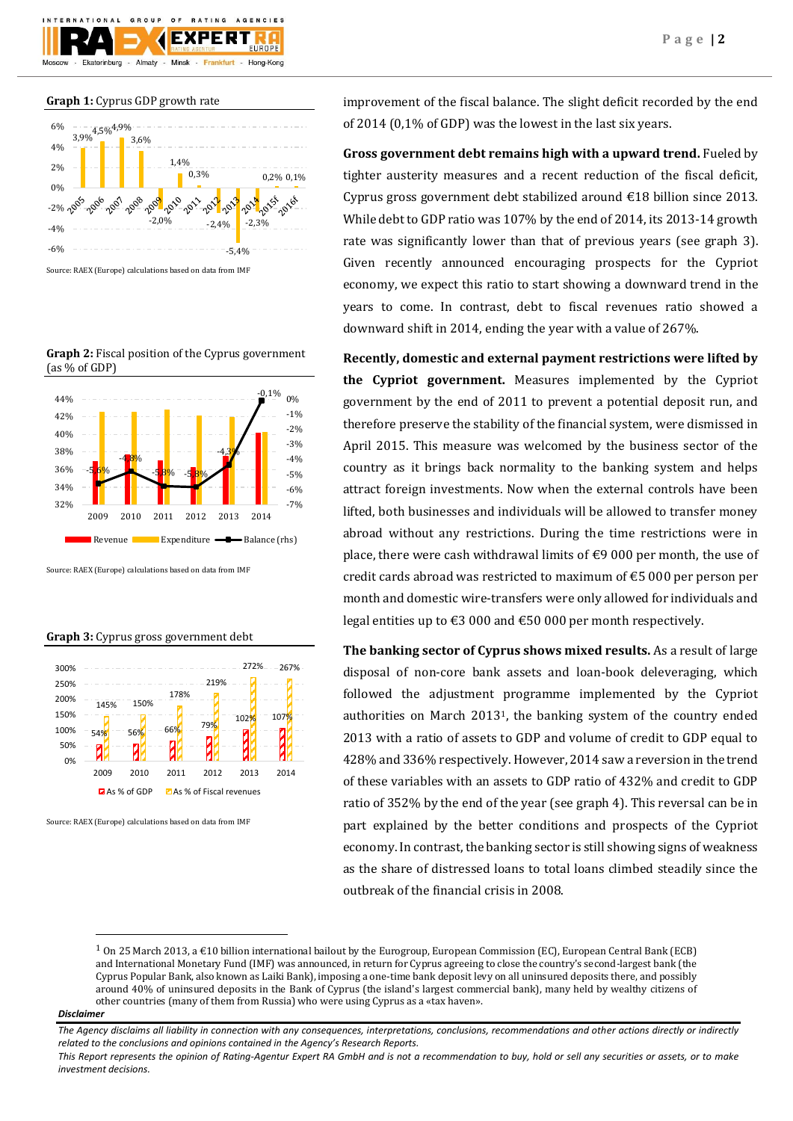#### **Graph 1:** Cyprus GDP growth rate

Ekaterinburg

GROUP



 $O F$ 

Almaty - Minsk -

**EXPER** 

Frankfurt

AGENCIES

Hong-Kong

Source: RAEX (Europe) calculations based on data from IMF

**Graph 2:** Fiscal position of the Cyprus government (as % of GDP)



Source: RAEX (Europe) calculations based on data from IMF

#### **Graph 3:** Cyprus gross government debt



Source: RAEX (Europe) calculations based on data from IMF

improvement of the fiscal balance. The slight deficit recorded by the end of 2014 (0,1% of GDP) was the lowest in the last six years.

**Gross government debt remains high with a upward trend.** Fueled by tighter austerity measures and a recent reduction of the fiscal deficit, Cyprus gross government debt stabilized around €18 billion since 2013. While debt to GDP ratio was 107% by the end of 2014, its 2013-14 growth rate was significantly lower than that of previous years (see graph 3). Given recently announced encouraging prospects for the Cypriot economy, we expect this ratio to start showing a downward trend in the years to come. In contrast, debt to fiscal revenues ratio showed a downward shift in 2014, ending the year with a value of 267%.

**Recently, domestic and external payment restrictions were lifted by the Cypriot government.** Measures implemented by the Cypriot government by the end of 2011 to prevent a potential deposit run, and therefore preserve the stability of the financial system, were dismissed in April 2015. This measure was welcomed by the business sector of the country as it brings back normality to the banking system and helps attract foreign investments. Now when the external controls have been lifted, both businesses and individuals will be allowed to transfer money abroad without any restrictions. During the time restrictions were in place, there were cash withdrawal limits of  $\epsilon$ 9 000 per month, the use of credit cards abroad was restricted to maximum of €5 000 per person per month and domestic wire-transfers were only allowed for individuals and legal entities up to €3 000 and €50 000 per month respectively.

**The banking sector of Cyprus shows mixed results.** As a result of large disposal of non-core bank assets and loan-book deleveraging, which followed the adjustment programme implemented by the Cypriot authorities on March 20131, the banking system of the country ended 2013 with a ratio of assets to GDP and volume of credit to GDP equal to 428% and 336% respectively. However, 2014 saw a reversion in the trend of these variables with an assets to GDP ratio of 432% and credit to GDP ratio of 352% by the end of the year (see graph 4). This reversal can be in part explained by the better conditions and prospects of the Cypriot economy. In contrast, the banking sector is still showing signs of weakness as the share of distressed loans to total loans climbed steadily since the outbreak of the financial crisis in 2008.

#### *Disclaimer*

**.** 

<sup>1</sup> On 25 March 2013, a €10 billion international [bailout](http://en.wikipedia.org/wiki/Bailout) by th[e Eurogroup,](http://en.wikipedia.org/wiki/Eurogroup) [European Commission](http://en.wikipedia.org/wiki/European_Commission) (EC)[, European Central Bank](http://en.wikipedia.org/wiki/European_Central_Bank) (ECB) an[d International Monetary Fund](http://en.wikipedia.org/wiki/International_Monetary_Fund) (IMF) was announced, in return for Cyprus agreeing to close the country's second-largest bank (the [Cyprus Popular Bank,](http://en.wikipedia.org/wiki/Cyprus_Popular_Bank) also known as Laiki Bank), imposing a one-tim[e bank deposit levy](http://en.wikipedia.org/wiki/Bank_deposit_levy) on all uninsured deposits there, and possibly around 40% of uninsured deposits in the [Bank of Cyprus](http://en.wikipedia.org/wiki/Bank_of_Cyprus) (the island's largest [commercial bank\)](http://en.wikipedia.org/wiki/Commercial_bank), many held by wealthy citizens of other countries (many of the[m from Russia\)](http://en.wikipedia.org/wiki/Russians_in_Cyprus) who were using Cyprus as a «[tax haven](http://en.wikipedia.org/wiki/Tax_haven)».

*The Agency disclaims all liability in connection with any consequences, interpretations, conclusions, recommendations and other actions directly or indirectly related to the conclusions and opinions contained in the Agency's Research Reports.*

*This Report represents the opinion of Rating-Agentur Expert RA GmbH and is not a recommendation to buy, hold or sell any securities or assets, or to make investment decisions.*